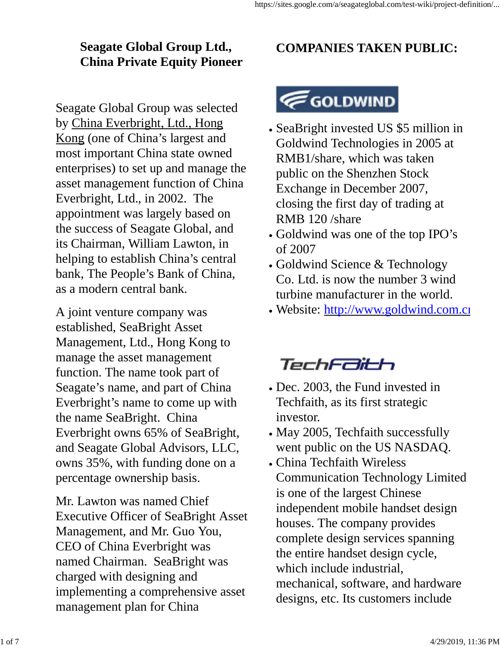## **Seagate Global Group Ltd., China Private Equity Pioneer**

Seagate Global Group was selected by China Everbright, Ltd., Hong Kong (one of China's largest and most important China state owned enterprises) to set up and manage the asset management function of China Everbright, Ltd., in 2002. The appointment was largely based on the success of Seagate Global, and its Chairman, William Lawton, in helping to establish China's central bank, The People's Bank of China, as a modern central bank.

A joint venture company was established, SeaBright Asset Management, Ltd., Hong Kong to manage the asset management function. The name took part of Seagate's name, and part of China Everbright's name to come up with the name SeaBright. China Everbright owns 65% of SeaBright, and Seagate Global Advisors, LLC, owns 35%, with funding done on a percentage ownership basis.

Mr. Lawton was named Chief Executive Officer of SeaBright Asset Management, and Mr. Guo You, CEO of China Everbright was named Chairman. SeaBright was charged with designing and implementing a comprehensive asset management plan for China

## **COMPANIES TAKEN PUBLIC:**

## GOLDWIND

- SeaBright invested US \$5 million in Goldwind Technologies in 2005 at RMB1/share, which was taken public on the Shenzhen Stock Exchange in December 2007, closing the first day of trading at RMB 120 /share
- Goldwind was one of the top IPO's of 2007
- Goldwind Science & Technology Co. Ltd. is now the number 3 wind turbine manufacturer in the world.
- . Website: http://www.goldwind.com.cn

## TechFaith

- Dec. 2003, the Fund invested in Techfaith, as its first strategic investor.
- May 2005, Techfaith successfully went public on the US NASDAQ.
- China Techfaith Wireless Communication Technology Limited is one of the largest Chinese independent mobile handset design houses. The company provides complete design services spanning the entire handset design cycle, which include industrial, mechanical, software, and hardware designs, etc. Its customers include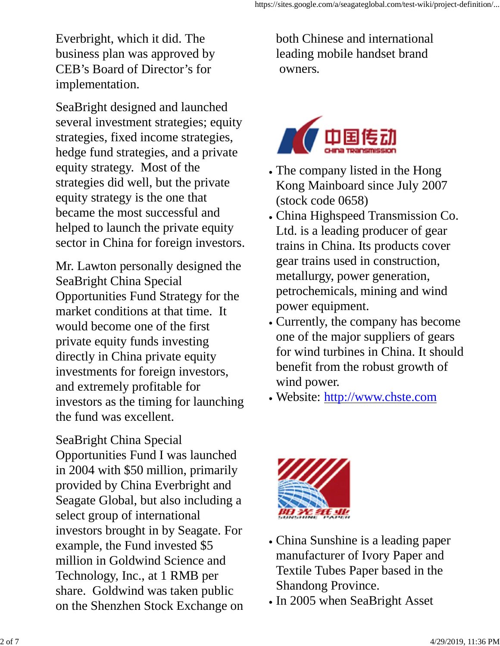Everbright, which it did. The business plan was approved by CEB's Board of Director's for implementation.

SeaBright designed and launched several investment strategies; equity strategies, fixed income strategies, hedge fund strategies, and a private equity strategy. Most of the strategies did well, but the private equity strategy is the one that became the most successful and helped to launch the private equity sector in China for foreign investors.

Mr. Lawton personally designed the SeaBright China Special Opportunities Fund Strategy for the market conditions at that time. It would become one of the first private equity funds investing directly in China private equity investments for foreign investors, and extremely profitable for investors as the timing for launching the fund was excellent.

SeaBright China Special Opportunities Fund I was launched in 2004 with \$50 million, primarily provided by China Everbright and Seagate Global, but also including a select group of international investors brought in by Seagate. For example, the Fund invested \$5 million in Goldwind Science and Technology, Inc., at 1 RMB per share. Goldwind was taken public on the Shenzhen Stock Exchange on

both Chinese and international leading mobile handset brand owners.



- The company listed in the Hong Kong Mainboard since July 2007 (stock code 0658)
- China Highspeed Transmission Co. Ltd. is a leading producer of gear trains in China. Its products cover gear trains used in construction, metallurgy, power generation, petrochemicals, mining and wind power equipment.
- Currently, the company has become one of the major suppliers of gears for wind turbines in China. It should benefit from the robust growth of wind power.
- Website: http://www.chste.com



- China Sunshine is a leading paper manufacturer of Ivory Paper and Textile Tubes Paper based in the Shandong Province.
- In 2005 when SeaBright Asset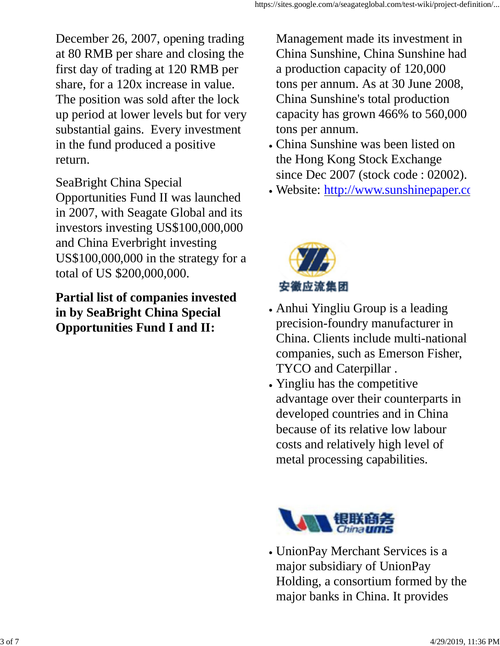December 26, 2007, opening trading at 80 RMB per share and closing the first day of trading at 120 RMB per share, for a 120x increase in value. The position was sold after the lock up period at lower levels but for very substantial gains. Every investment in the fund produced a positive return.

SeaBright China Special

Opportunities Fund II was launched in 2007, with Seagate Global and its investors investing US\$100,000,000 and China Everbright investing US\$100,000,000 in the strategy for a total of US \$200,000,000.

**Partial list of companies invested in by SeaBright China Special Opportunities Fund I and II:**

Management made its investment in China Sunshine, China Sunshine had a production capacity of 120,000 tons per annum. As at 30 June 2008, China Sunshine's total production capacity has grown 466% to 560,000 tons per annum.

- China Sunshine was been listed on the Hong Kong Stock Exchange since Dec 2007 (stock code : 02002).
- Website: http://www.sunshinepaper.com



- Anhui Yingliu Group is a leading precision-foundry manufacturer in China. Clients include multi-national companies, such as Emerson Fisher, TYCO and Caterpillar .
- Yingliu has the competitive advantage over their counterparts in developed countries and in China because of its relative low labour costs and relatively high level of metal processing capabilities.



UnionPay Merchant Services is a major subsidiary of UnionPay Holding, a consortium formed by the major banks in China. It provides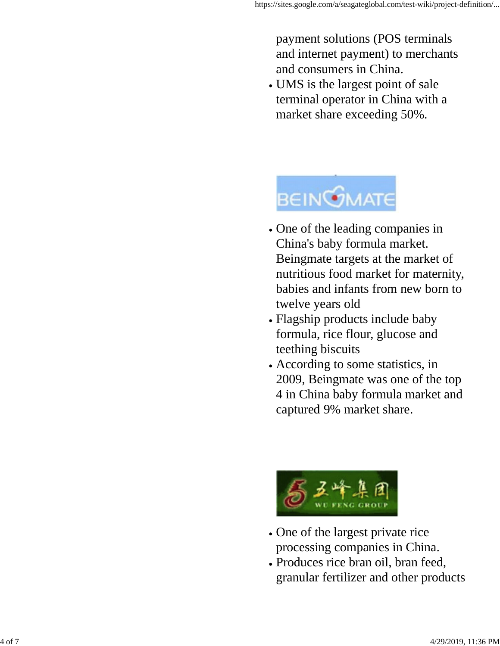payment solutions (POS terminals and internet payment) to merchants and consumers in China.

UMS is the largest point of sale terminal operator in China with a market share exceeding 50%.



- One of the leading companies in China's baby formula market. Beingmate targets at the market of nutritious food market for maternity, babies and infants from new born to twelve years old
- Flagship products include baby formula, rice flour, glucose and teething biscuits
- According to some statistics, in 2009, Beingmate was one of the top 4 in China baby formula market and captured 9% market share.



- One of the largest private rice processing companies in China.
- Produces rice bran oil, bran feed, granular fertilizer and other products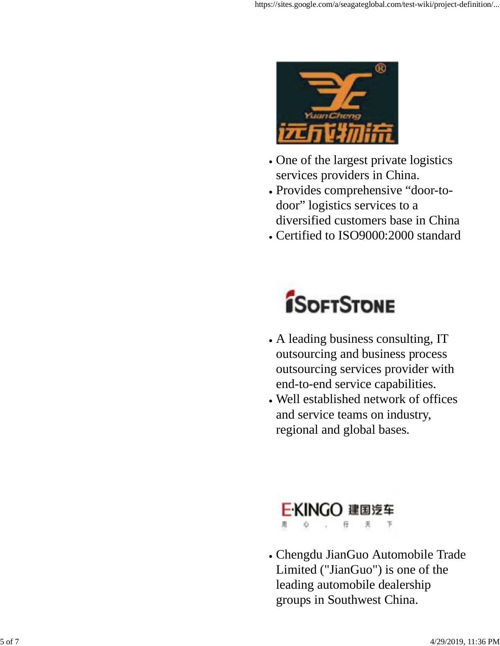

- One of the largest private logistics services providers in China.
- Provides comprehensive "door-todoor" logistics services to a diversified customers base in China
- Certified to ISO9000:2000 standard



- A leading business consulting, IT outsourcing and business process outsourcing services provider with end-to-end service capabilities.
- Well established network of offices and service teams on industry, regional and global bases.



Chengdu JianGuo Automobile Trade Limited ("JianGuo") is one of the leading automobile dealership groups in Southwest China.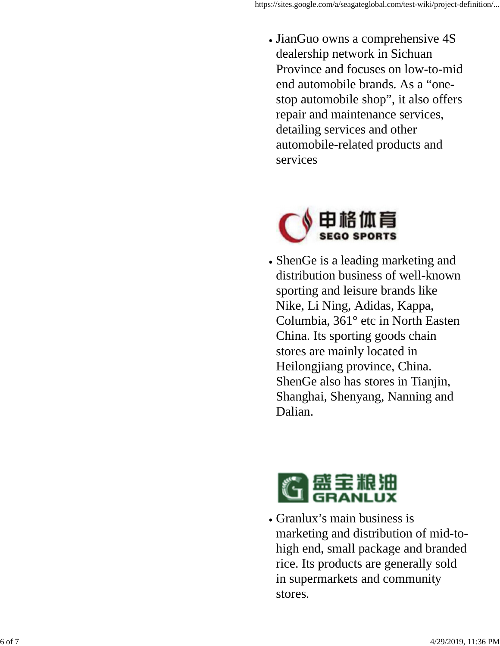• JianGuo owns a comprehensive 4S dealership network in Sichuan Province and focuses on low-to-mid end automobile brands. As a "onestop automobile shop", it also offers repair and maintenance services, detailing services and other automobile-related products and services



ShenGe is a leading marketing and distribution business of well-known sporting and leisure brands like Nike, Li Ning, Adidas, Kappa, Columbia, 361° etc in North Easten China. Its sporting goods chain stores are mainly located in Heilongjiang province, China. ShenGe also has stores in Tianjin, Shanghai, Shenyang, Nanning and Dalian.



Granlux's main business is marketing and distribution of mid-tohigh end, small package and branded rice. Its products are generally sold in supermarkets and community stores.